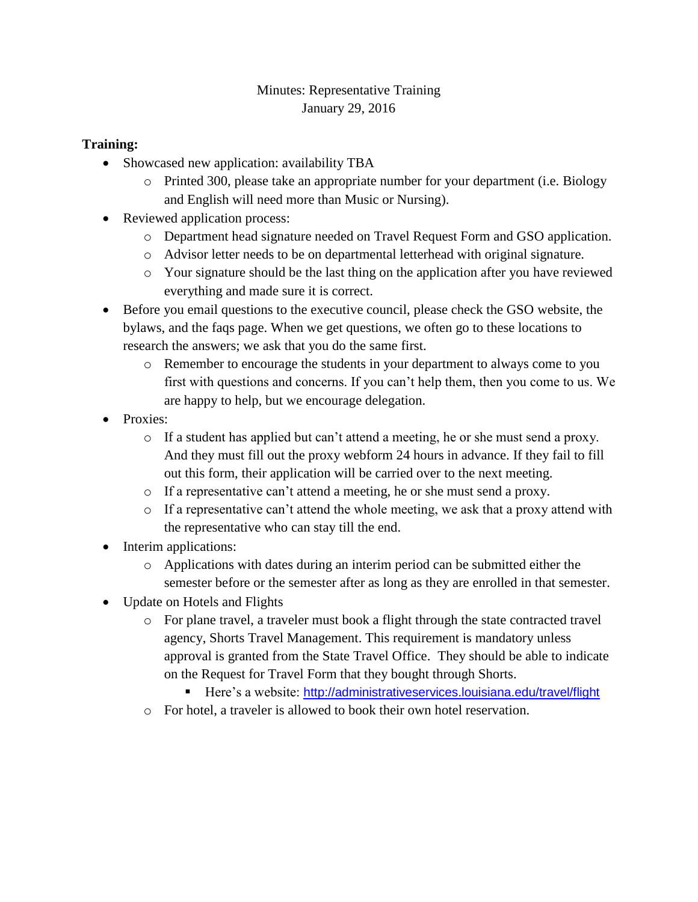## Minutes: Representative Training January 29, 2016

## **Training:**

- Showcased new application: availability TBA
	- o Printed 300, please take an appropriate number for your department (i.e. Biology and English will need more than Music or Nursing).
- Reviewed application process:
	- o Department head signature needed on Travel Request Form and GSO application.
	- o Advisor letter needs to be on departmental letterhead with original signature.
	- o Your signature should be the last thing on the application after you have reviewed everything and made sure it is correct.
- Before you email questions to the executive council, please check the GSO website, the bylaws, and the faqs page. When we get questions, we often go to these locations to research the answers; we ask that you do the same first.
	- o Remember to encourage the students in your department to always come to you first with questions and concerns. If you can't help them, then you come to us. We are happy to help, but we encourage delegation.
- Proxies:
	- o If a student has applied but can't attend a meeting, he or she must send a proxy. And they must fill out the proxy webform 24 hours in advance. If they fail to fill out this form, their application will be carried over to the next meeting.
	- o If a representative can't attend a meeting, he or she must send a proxy.
	- $\circ$  If a representative can't attend the whole meeting, we ask that a proxy attend with the representative who can stay till the end.
- Interim applications:
	- o Applications with dates during an interim period can be submitted either the semester before or the semester after as long as they are enrolled in that semester.
- Update on Hotels and Flights
	- o For plane travel, a traveler must book a flight through the state contracted travel agency, Shorts Travel Management. This requirement is mandatory unless approval is granted from the State Travel Office. They should be able to indicate on the Request for Travel Form that they bought through Shorts.
		- Here's a website: <http://administrativeservices.louisiana.edu/travel/flight>
	- o For hotel, a traveler is allowed to book their own hotel reservation.